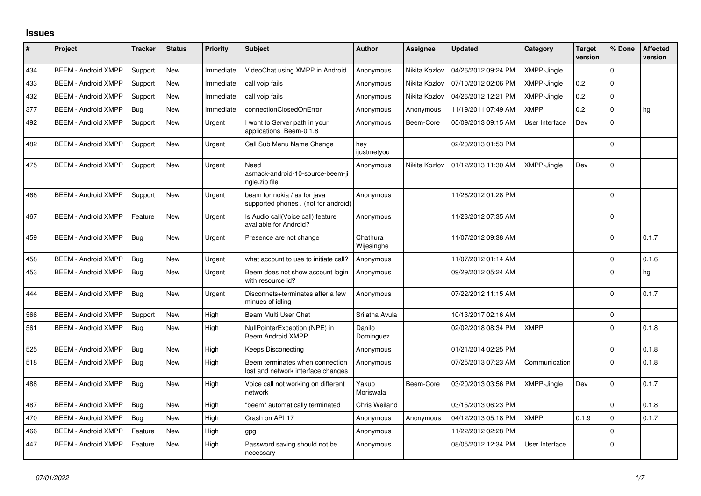## **Issues**

| #   | Project                    | <b>Tracker</b> | <b>Status</b> | <b>Priority</b> | <b>Subject</b>                                                        | <b>Author</b>          | Assignee      | <b>Updated</b>      | Category       | <b>Target</b><br>version | % Done      | <b>Affected</b><br>version |
|-----|----------------------------|----------------|---------------|-----------------|-----------------------------------------------------------------------|------------------------|---------------|---------------------|----------------|--------------------------|-------------|----------------------------|
| 434 | <b>BEEM - Android XMPP</b> | Support        | <b>New</b>    | Immediate       | VideoChat using XMPP in Android                                       | Anonymous              | Nikita Kozlov | 04/26/2012 09:24 PM | XMPP-Jingle    |                          | $\Omega$    |                            |
| 433 | <b>BEEM - Android XMPP</b> | Support        | <b>New</b>    | Immediate       | call voip fails                                                       | Anonymous              | Nikita Kozlov | 07/10/2012 02:06 PM | XMPP-Jingle    | 0.2                      | $\mathbf 0$ |                            |
| 432 | <b>BEEM - Android XMPP</b> | Support        | <b>New</b>    | Immediate       | call voip fails                                                       | Anonymous              | Nikita Kozlov | 04/26/2012 12:21 PM | XMPP-Jingle    | 0.2                      | $\mathbf 0$ |                            |
| 377 | <b>BEEM - Android XMPP</b> | Bug            | <b>New</b>    | Immediate       | connectionClosedOnError                                               | Anonymous              | Anonymous     | 11/19/2011 07:49 AM | <b>XMPP</b>    | 0.2                      | $\mathbf 0$ | hg                         |
| 492 | <b>BEEM - Android XMPP</b> | Support        | New           | Urgent          | I wont to Server path in your<br>applications Beem-0.1.8              | Anonymous              | Beem-Core     | 05/09/2013 09:15 AM | User Interface | Dev                      | $\Omega$    |                            |
| 482 | <b>BEEM - Android XMPP</b> | Support        | <b>New</b>    | Urgent          | Call Sub Menu Name Change                                             | hey<br>ijustmetyou     |               | 02/20/2013 01:53 PM |                |                          | $\mathbf 0$ |                            |
| 475 | <b>BEEM - Android XMPP</b> | Support        | <b>New</b>    | Urgent          | Need<br>asmack-android-10-source-beem-ji<br>ngle.zip file             | Anonymous              | Nikita Kozlov | 01/12/2013 11:30 AM | XMPP-Jingle    | Dev                      | $\Omega$    |                            |
| 468 | <b>BEEM - Android XMPP</b> | Support        | <b>New</b>    | Urgent          | beam for nokia / as for java<br>supported phones. (not for android)   | Anonymous              |               | 11/26/2012 01:28 PM |                |                          | $\Omega$    |                            |
| 467 | <b>BEEM - Android XMPP</b> | Feature        | <b>New</b>    | Urgent          | Is Audio call(Voice call) feature<br>available for Android?           | Anonymous              |               | 11/23/2012 07:35 AM |                |                          | $\Omega$    |                            |
| 459 | <b>BEEM - Android XMPP</b> | <b>Bug</b>     | New           | Urgent          | Presence are not change                                               | Chathura<br>Wijesinghe |               | 11/07/2012 09:38 AM |                |                          | $\Omega$    | 0.1.7                      |
| 458 | <b>BEEM - Android XMPP</b> | Bug            | <b>New</b>    | Urgent          | what account to use to initiate call?                                 | Anonymous              |               | 11/07/2012 01:14 AM |                |                          | $\Omega$    | 0.1.6                      |
| 453 | <b>BEEM - Android XMPP</b> | <b>Bug</b>     | <b>New</b>    | Urgent          | Beem does not show account login<br>with resource id?                 | Anonymous              |               | 09/29/2012 05:24 AM |                |                          | $\Omega$    | hg                         |
| 444 | <b>BEEM - Android XMPP</b> | Bug            | <b>New</b>    | Urgent          | Disconnets+terminates after a few<br>minues of idling                 | Anonymous              |               | 07/22/2012 11:15 AM |                |                          | $\Omega$    | 0.1.7                      |
| 566 | <b>BEEM - Android XMPP</b> | Support        | <b>New</b>    | High            | Beam Multi User Chat                                                  | Srilatha Avula         |               | 10/13/2017 02:16 AM |                |                          | $\mathbf 0$ |                            |
| 561 | <b>BEEM - Android XMPP</b> | Bug            | New           | High            | NullPointerException (NPE) in<br>Beem Android XMPP                    | Danilo<br>Dominguez    |               | 02/02/2018 08:34 PM | XMPP           |                          | $\Omega$    | 0.1.8                      |
| 525 | <b>BEEM - Android XMPP</b> | Bug            | <b>New</b>    | High            | <b>Keeps Disconecting</b>                                             | Anonymous              |               | 01/21/2014 02:25 PM |                |                          | $\mathbf 0$ | 0.1.8                      |
| 518 | <b>BEEM - Android XMPP</b> | Bug            | New           | High            | Beem terminates when connection<br>lost and network interface changes | Anonymous              |               | 07/25/2013 07:23 AM | Communication  |                          | $\mathbf 0$ | 0.1.8                      |
| 488 | <b>BEEM - Android XMPP</b> | Bug            | New           | High            | Voice call not working on different<br>network                        | Yakub<br>Moriswala     | Beem-Core     | 03/20/2013 03:56 PM | XMPP-Jingle    | Dev                      | $\Omega$    | 0.1.7                      |
| 487 | <b>BEEM - Android XMPP</b> | Bug            | <b>New</b>    | High            | "beem" automatically terminated                                       | <b>Chris Weiland</b>   |               | 03/15/2013 06:23 PM |                |                          | $\mathbf 0$ | 0.1.8                      |
| 470 | <b>BEEM - Android XMPP</b> | Bug            | New           | High            | Crash on API 17                                                       | Anonymous              | Anonymous     | 04/12/2013 05:18 PM | <b>XMPP</b>    | 0.1.9                    | $\mathbf 0$ | 0.1.7                      |
| 466 | <b>BEEM - Android XMPP</b> | Feature        | <b>New</b>    | High            | gpg                                                                   | Anonymous              |               | 11/22/2012 02:28 PM |                |                          | $\mathbf 0$ |                            |
| 447 | <b>BEEM - Android XMPP</b> | Feature        | New           | High            | Password saving should not be<br>necessary                            | Anonymous              |               | 08/05/2012 12:34 PM | User Interface |                          | $\Omega$    |                            |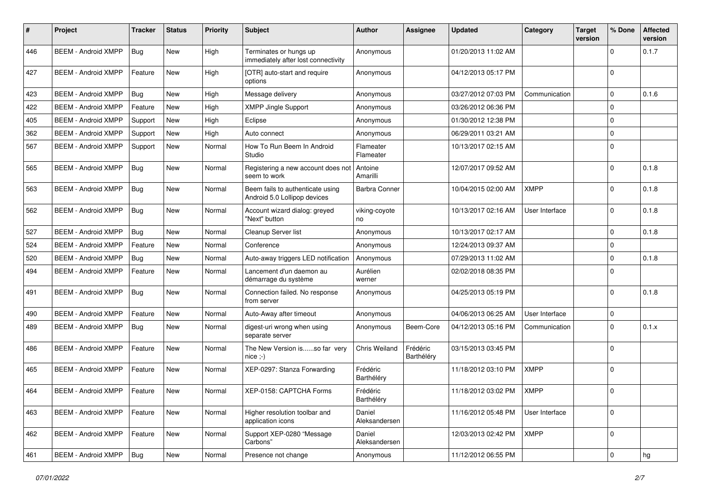| #   | Project                    | <b>Tracker</b> | <b>Status</b> | <b>Priority</b> | Subject                                                          | <b>Author</b>           | Assignee               | <b>Updated</b>      | Category       | <b>Target</b><br>version | % Done      | <b>Affected</b><br>version |
|-----|----------------------------|----------------|---------------|-----------------|------------------------------------------------------------------|-------------------------|------------------------|---------------------|----------------|--------------------------|-------------|----------------------------|
| 446 | <b>BEEM - Android XMPP</b> | Bug            | New           | High            | Terminates or hungs up<br>immediately after lost connectivity    | Anonymous               |                        | 01/20/2013 11:02 AM |                |                          | $\Omega$    | 0.1.7                      |
| 427 | <b>BEEM - Android XMPP</b> | Feature        | New           | High            | [OTR] auto-start and require<br>options                          | Anonymous               |                        | 04/12/2013 05:17 PM |                |                          | $\Omega$    |                            |
| 423 | <b>BEEM - Android XMPP</b> | Bug            | <b>New</b>    | High            | Message delivery                                                 | Anonymous               |                        | 03/27/2012 07:03 PM | Communication  |                          | $\mathbf 0$ | 0.1.6                      |
| 422 | <b>BEEM - Android XMPP</b> | Feature        | <b>New</b>    | High            | <b>XMPP Jingle Support</b>                                       | Anonymous               |                        | 03/26/2012 06:36 PM |                |                          | $\Omega$    |                            |
| 405 | <b>BEEM - Android XMPP</b> | Support        | <b>New</b>    | High            | Eclipse                                                          | Anonymous               |                        | 01/30/2012 12:38 PM |                |                          | $\mathbf 0$ |                            |
| 362 | <b>BEEM - Android XMPP</b> | Support        | <b>New</b>    | High            | Auto connect                                                     | Anonymous               |                        | 06/29/2011 03:21 AM |                |                          | $\mathbf 0$ |                            |
| 567 | <b>BEEM - Android XMPP</b> | Support        | <b>New</b>    | Normal          | How To Run Beem In Android<br>Studio                             | Flameater<br>Flameater  |                        | 10/13/2017 02:15 AM |                |                          | $\mathbf 0$ |                            |
| 565 | <b>BEEM - Android XMPP</b> | Bug            | New           | Normal          | Registering a new account does not<br>seem to work               | Antoine<br>Amarilli     |                        | 12/07/2017 09:52 AM |                |                          | $\Omega$    | 0.1.8                      |
| 563 | <b>BEEM - Android XMPP</b> | <b>Bug</b>     | <b>New</b>    | Normal          | Beem fails to authenticate using<br>Android 5.0 Lollipop devices | <b>Barbra Conner</b>    |                        | 10/04/2015 02:00 AM | <b>XMPP</b>    |                          | $\Omega$    | 0.1.8                      |
| 562 | <b>BEEM - Android XMPP</b> | <b>Bug</b>     | New           | Normal          | Account wizard dialog: greyed<br>"Next" button                   | viking-coyote<br>no     |                        | 10/13/2017 02:16 AM | User Interface |                          | $\Omega$    | 0.1.8                      |
| 527 | <b>BEEM - Android XMPP</b> | <b>Bug</b>     | <b>New</b>    | Normal          | Cleanup Server list                                              | Anonymous               |                        | 10/13/2017 02:17 AM |                |                          | $\mathbf 0$ | 0.1.8                      |
| 524 | <b>BEEM - Android XMPP</b> | Feature        | New           | Normal          | Conference                                                       | Anonymous               |                        | 12/24/2013 09:37 AM |                |                          | $\mathbf 0$ |                            |
| 520 | <b>BEEM - Android XMPP</b> | Bug            | <b>New</b>    | Normal          | Auto-away triggers LED notification                              | Anonymous               |                        | 07/29/2013 11:02 AM |                |                          | $\Omega$    | 0.1.8                      |
| 494 | <b>BEEM - Android XMPP</b> | Feature        | <b>New</b>    | Normal          | Lancement d'un daemon au<br>démarrage du système                 | Aurélien<br>werner      |                        | 02/02/2018 08:35 PM |                |                          | $\Omega$    |                            |
| 491 | <b>BEEM - Android XMPP</b> | <b>Bug</b>     | New           | Normal          | Connection failed. No response<br>from server                    | Anonymous               |                        | 04/25/2013 05:19 PM |                |                          | $\Omega$    | 0.1.8                      |
| 490 | <b>BEEM - Android XMPP</b> | Feature        | <b>New</b>    | Normal          | Auto-Away after timeout                                          | Anonymous               |                        | 04/06/2013 06:25 AM | User Interface |                          | 0           |                            |
| 489 | <b>BEEM - Android XMPP</b> | <b>Bug</b>     | New           | Normal          | digest-uri wrong when using<br>separate server                   | Anonymous               | Beem-Core              | 04/12/2013 05:16 PM | Communication  |                          | $\Omega$    | 0.1.x                      |
| 486 | <b>BEEM - Android XMPP</b> | Feature        | <b>New</b>    | Normal          | The New Version isso far very<br>nice ;-)                        | Chris Weiland           | Frédéric<br>Barthéléry | 03/15/2013 03:45 PM |                |                          | $\Omega$    |                            |
| 465 | <b>BEEM - Android XMPP</b> | Feature        | <b>New</b>    | Normal          | XEP-0297: Stanza Forwarding                                      | Frédéric<br>Barthéléry  |                        | 11/18/2012 03:10 PM | <b>XMPP</b>    |                          | $\mathbf 0$ |                            |
| 464 | <b>BEEM - Android XMPP</b> | Feature        | New           | Normal          | XEP-0158: CAPTCHA Forms                                          | Frédéric<br>Barthéléry  |                        | 11/18/2012 03:02 PM | <b>XMPP</b>    |                          | $\mathbf 0$ |                            |
| 463 | <b>BEEM - Android XMPP</b> | Feature        | New           | Normal          | Higher resolution toolbar and<br>application icons               | Daniel<br>Aleksandersen |                        | 11/16/2012 05:48 PM | User Interface |                          | 0           |                            |
| 462 | <b>BEEM - Android XMPP</b> | Feature        | New           | Normal          | Support XEP-0280 "Message<br>Carbons"                            | Daniel<br>Aleksandersen |                        | 12/03/2013 02:42 PM | <b>XMPP</b>    |                          | $\mathbf 0$ |                            |
| 461 | <b>BEEM - Android XMPP</b> | Bug            | New           | Normal          | Presence not change                                              | Anonymous               |                        | 11/12/2012 06:55 PM |                |                          | $\mathbf 0$ | hg                         |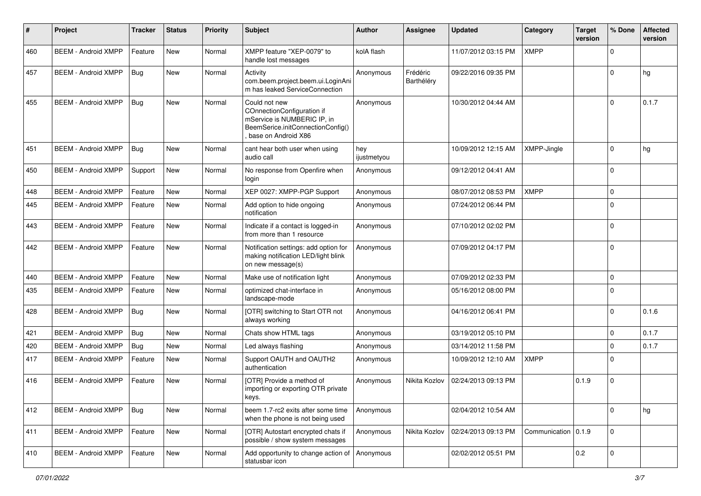| #   | Project                    | <b>Tracker</b> | <b>Status</b> | <b>Priority</b> | Subject                                                                                                                                | <b>Author</b>      | Assignee               | <b>Updated</b>      | Category              | <b>Target</b><br>version | % Done      | <b>Affected</b><br>version |
|-----|----------------------------|----------------|---------------|-----------------|----------------------------------------------------------------------------------------------------------------------------------------|--------------------|------------------------|---------------------|-----------------------|--------------------------|-------------|----------------------------|
| 460 | <b>BEEM - Android XMPP</b> | Feature        | New           | Normal          | XMPP feature "XEP-0079" to<br>handle lost messages                                                                                     | kolA flash         |                        | 11/07/2012 03:15 PM | <b>XMPP</b>           |                          | $\Omega$    |                            |
| 457 | <b>BEEM - Android XMPP</b> | <b>Bug</b>     | New           | Normal          | Activity<br>com.beem.project.beem.ui.LoginAni<br>m has leaked ServiceConnection                                                        | Anonymous          | Frédéric<br>Barthéléry | 09/22/2016 09:35 PM |                       |                          | $\Omega$    | hg                         |
| 455 | <b>BEEM - Android XMPP</b> | Bug            | New           | Normal          | Could not new<br>COnnectionConfiguration if<br>mService is NUMBERIC IP, in<br>BeemSerice.initConnectionConfig()<br>base on Android X86 | Anonymous          |                        | 10/30/2012 04:44 AM |                       |                          | $\Omega$    | 0.1.7                      |
| 451 | <b>BEEM - Android XMPP</b> | Bug            | <b>New</b>    | Normal          | cant hear both user when using<br>audio call                                                                                           | hey<br>ijustmetyou |                        | 10/09/2012 12:15 AM | XMPP-Jingle           |                          | $\Omega$    | hg                         |
| 450 | <b>BEEM - Android XMPP</b> | Support        | <b>New</b>    | Normal          | No response from Openfire when<br>login                                                                                                | Anonymous          |                        | 09/12/2012 04:41 AM |                       |                          | $\Omega$    |                            |
| 448 | <b>BEEM - Android XMPP</b> | Feature        | <b>New</b>    | Normal          | XEP 0027: XMPP-PGP Support                                                                                                             | Anonymous          |                        | 08/07/2012 08:53 PM | <b>XMPP</b>           |                          | $\mathbf 0$ |                            |
| 445 | <b>BEEM - Android XMPP</b> | Feature        | New           | Normal          | Add option to hide ongoing<br>notification                                                                                             | Anonymous          |                        | 07/24/2012 06:44 PM |                       |                          | $\Omega$    |                            |
| 443 | <b>BEEM - Android XMPP</b> | Feature        | <b>New</b>    | Normal          | Indicate if a contact is logged-in<br>from more than 1 resource                                                                        | Anonymous          |                        | 07/10/2012 02:02 PM |                       |                          | $\Omega$    |                            |
| 442 | <b>BEEM - Android XMPP</b> | Feature        | <b>New</b>    | Normal          | Notification settings: add option for<br>making notification LED/light blink<br>on new message(s)                                      | Anonymous          |                        | 07/09/2012 04:17 PM |                       |                          | $\Omega$    |                            |
| 440 | <b>BEEM - Android XMPP</b> | Feature        | <b>New</b>    | Normal          | Make use of notification light                                                                                                         | Anonymous          |                        | 07/09/2012 02:33 PM |                       |                          | $\mathbf 0$ |                            |
| 435 | <b>BEEM - Android XMPP</b> | Feature        | <b>New</b>    | Normal          | optimized chat-interface in<br>landscape-mode                                                                                          | Anonymous          |                        | 05/16/2012 08:00 PM |                       |                          | $\Omega$    |                            |
| 428 | <b>BEEM - Android XMPP</b> | Bug            | New           | Normal          | [OTR] switching to Start OTR not<br>always working                                                                                     | Anonymous          |                        | 04/16/2012 06:41 PM |                       |                          | $\mathbf 0$ | 0.1.6                      |
| 421 | <b>BEEM - Android XMPP</b> | Bug            | New           | Normal          | Chats show HTML tags                                                                                                                   | Anonymous          |                        | 03/19/2012 05:10 PM |                       |                          | $\Omega$    | 0.1.7                      |
| 420 | <b>BEEM - Android XMPP</b> | Bug            | <b>New</b>    | Normal          | Led always flashing                                                                                                                    | Anonymous          |                        | 03/14/2012 11:58 PM |                       |                          | $\mathbf 0$ | 0.1.7                      |
| 417 | <b>BEEM - Android XMPP</b> | Feature        | New           | Normal          | Support OAUTH and OAUTH2<br>authentication                                                                                             | Anonymous          |                        | 10/09/2012 12:10 AM | <b>XMPP</b>           |                          | $\Omega$    |                            |
| 416 | <b>BEEM - Android XMPP</b> | Feature        | New           | Normal          | [OTR] Provide a method of<br>importing or exporting OTR private<br>keys.                                                               | Anonymous          | Nikita Kozlov          | 02/24/2013 09:13 PM |                       | 0.1.9                    | $\mathbf 0$ |                            |
| 412 | <b>BEEM - Android XMPP</b> | Bug            | New           | Normal          | beem 1.7-rc2 exits after some time<br>when the phone is not being used                                                                 | Anonymous          |                        | 02/04/2012 10:54 AM |                       |                          | $\mathbf 0$ | hg                         |
| 411 | <b>BEEM - Android XMPP</b> | Feature        | New           | Normal          | [OTR] Autostart encrypted chats if<br>possible / show system messages                                                                  | Anonymous          | Nikita Kozlov          | 02/24/2013 09:13 PM | Communication   0.1.9 |                          | $\mathbf 0$ |                            |
| 410 | <b>BEEM - Android XMPP</b> | Feature        | New           | Normal          | Add opportunity to change action of<br>statusbar icon                                                                                  | Anonymous          |                        | 02/02/2012 05:51 PM |                       | 0.2                      | $\mathbf 0$ |                            |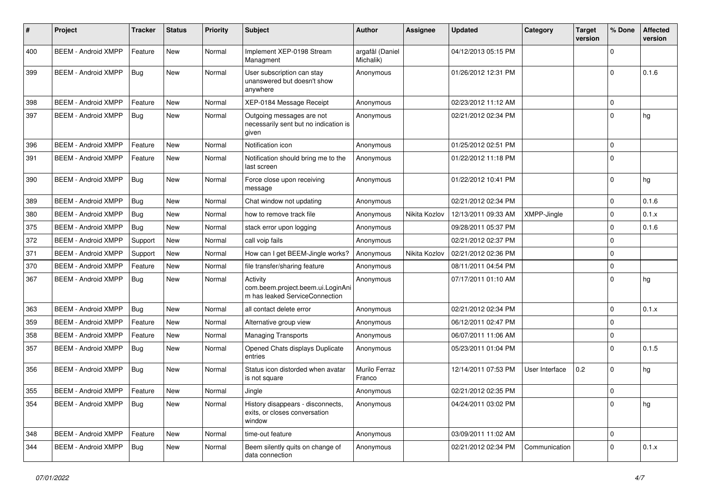| $\#$ | Project                    | <b>Tracker</b> | <b>Status</b> | <b>Priority</b> | Subject                                                                         | <b>Author</b>                | Assignee      | <b>Updated</b>      | Category       | <b>Target</b><br>version | % Done      | <b>Affected</b><br>version |
|------|----------------------------|----------------|---------------|-----------------|---------------------------------------------------------------------------------|------------------------------|---------------|---------------------|----------------|--------------------------|-------------|----------------------------|
| 400  | <b>BEEM - Android XMPP</b> | Feature        | New           | Normal          | Implement XEP-0198 Stream<br>Managment                                          | argafål (Daniel<br>Michalik) |               | 04/12/2013 05:15 PM |                |                          | $\mathbf 0$ |                            |
| 399  | <b>BEEM - Android XMPP</b> | Bug            | New           | Normal          | User subscription can stay<br>unanswered but doesn't show<br>anywhere           | Anonymous                    |               | 01/26/2012 12:31 PM |                |                          | $\Omega$    | 0.1.6                      |
| 398  | <b>BEEM - Android XMPP</b> | Feature        | <b>New</b>    | Normal          | XEP-0184 Message Receipt                                                        | Anonymous                    |               | 02/23/2012 11:12 AM |                |                          | $\mathbf 0$ |                            |
| 397  | <b>BEEM - Android XMPP</b> | <b>Bug</b>     | <b>New</b>    | Normal          | Outgoing messages are not<br>necessarily sent but no indication is<br>given     | Anonymous                    |               | 02/21/2012 02:34 PM |                |                          | $\Omega$    | hg                         |
| 396  | <b>BEEM - Android XMPP</b> | Feature        | <b>New</b>    | Normal          | Notification icon                                                               | Anonymous                    |               | 01/25/2012 02:51 PM |                |                          | $\mathbf 0$ |                            |
| 391  | <b>BEEM - Android XMPP</b> | Feature        | New           | Normal          | Notification should bring me to the<br>last screen                              | Anonymous                    |               | 01/22/2012 11:18 PM |                |                          | $\Omega$    |                            |
| 390  | <b>BEEM - Android XMPP</b> | Bug            | New           | Normal          | Force close upon receiving<br>message                                           | Anonymous                    |               | 01/22/2012 10:41 PM |                |                          | $\mathbf 0$ | hg                         |
| 389  | <b>BEEM - Android XMPP</b> | Bug            | <b>New</b>    | Normal          | Chat window not updating                                                        | Anonymous                    |               | 02/21/2012 02:34 PM |                |                          | $\mathbf 0$ | 0.1.6                      |
| 380  | <b>BEEM - Android XMPP</b> | <b>Bug</b>     | New           | Normal          | how to remove track file                                                        | Anonymous                    | Nikita Kozlov | 12/13/2011 09:33 AM | XMPP-Jingle    |                          | $\mathbf 0$ | 0.1.x                      |
| 375  | <b>BEEM - Android XMPP</b> | <b>Bug</b>     | New           | Normal          | stack error upon logging                                                        | Anonymous                    |               | 09/28/2011 05:37 PM |                |                          | $\mathbf 0$ | 0.1.6                      |
| 372  | <b>BEEM - Android XMPP</b> | Support        | New           | Normal          | call voip fails                                                                 | Anonymous                    |               | 02/21/2012 02:37 PM |                |                          | $\mathbf 0$ |                            |
| 371  | <b>BEEM - Android XMPP</b> | Support        | New           | Normal          | How can I get BEEM-Jingle works?                                                | Anonymous                    | Nikita Kozlov | 02/21/2012 02:36 PM |                |                          | $\mathbf 0$ |                            |
| 370  | <b>BEEM - Android XMPP</b> | Feature        | <b>New</b>    | Normal          | file transfer/sharing feature                                                   | Anonymous                    |               | 08/11/2011 04:54 PM |                |                          | $\mathbf 0$ |                            |
| 367  | <b>BEEM - Android XMPP</b> | Bug            | <b>New</b>    | Normal          | Activity<br>com.beem.project.beem.ui.LoginAni<br>m has leaked ServiceConnection | Anonymous                    |               | 07/17/2011 01:10 AM |                |                          | $\mathbf 0$ | hg                         |
| 363  | <b>BEEM - Android XMPP</b> | Bug            | <b>New</b>    | Normal          | all contact delete error                                                        | Anonymous                    |               | 02/21/2012 02:34 PM |                |                          | $\mathbf 0$ | 0.1.x                      |
| 359  | <b>BEEM - Android XMPP</b> | Feature        | New           | Normal          | Alternative group view                                                          | Anonymous                    |               | 06/12/2011 02:47 PM |                |                          | $\mathbf 0$ |                            |
| 358  | <b>BEEM - Android XMPP</b> | Feature        | <b>New</b>    | Normal          | <b>Managing Transports</b>                                                      | Anonymous                    |               | 06/07/2011 11:06 AM |                |                          | $\mathbf 0$ |                            |
| 357  | <b>BEEM - Android XMPP</b> | <b>Bug</b>     | New           | Normal          | Opened Chats displays Duplicate<br>entries                                      | Anonymous                    |               | 05/23/2011 01:04 PM |                |                          | $\Omega$    | 0.1.5                      |
| 356  | <b>BEEM - Android XMPP</b> | Bug            | New           | Normal          | Status icon distorded when avatar<br>is not square                              | Murilo Ferraz<br>Franco      |               | 12/14/2011 07:53 PM | User Interface | 0.2                      | $\Omega$    | hg                         |
| 355  | <b>BEEM - Android XMPP</b> | Feature        | <b>New</b>    | Normal          | Jingle                                                                          | Anonymous                    |               | 02/21/2012 02:35 PM |                |                          | $\mathbf 0$ |                            |
| 354  | <b>BEEM - Android XMPP</b> | <b>Bug</b>     | New           | Normal          | History disappears - disconnects,<br>exits, or closes conversation<br>window    | Anonymous                    |               | 04/24/2011 03:02 PM |                |                          | $\mathbf 0$ | hg                         |
| 348  | <b>BEEM - Android XMPP</b> | Feature        | New           | Normal          | time-out feature                                                                | Anonymous                    |               | 03/09/2011 11:02 AM |                |                          | $\mathbf 0$ |                            |
| 344  | <b>BEEM - Android XMPP</b> | <b>Bug</b>     | New           | Normal          | Beem silently quits on change of<br>data connection                             | Anonymous                    |               | 02/21/2012 02:34 PM | Communication  |                          | $\mathbf 0$ | 0.1.x                      |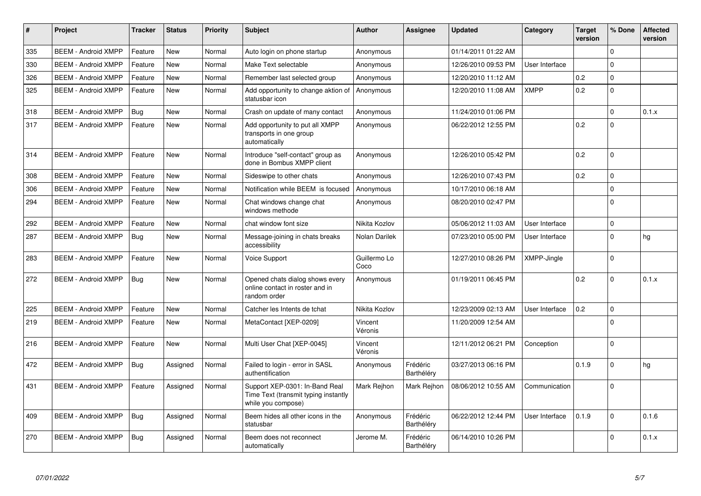| #   | Project                    | <b>Tracker</b> | <b>Status</b> | <b>Priority</b> | <b>Subject</b>                                                                               | <b>Author</b>        | <b>Assignee</b>        | <b>Updated</b>      | Category       | <b>Target</b><br>version | % Done      | <b>Affected</b><br>version |
|-----|----------------------------|----------------|---------------|-----------------|----------------------------------------------------------------------------------------------|----------------------|------------------------|---------------------|----------------|--------------------------|-------------|----------------------------|
| 335 | <b>BEEM - Android XMPP</b> | Feature        | <b>New</b>    | Normal          | Auto login on phone startup                                                                  | Anonymous            |                        | 01/14/2011 01:22 AM |                |                          | $\mathbf 0$ |                            |
| 330 | <b>BEEM - Android XMPP</b> | Feature        | <b>New</b>    | Normal          | Make Text selectable                                                                         | Anonymous            |                        | 12/26/2010 09:53 PM | User Interface |                          | $\Omega$    |                            |
| 326 | <b>BEEM - Android XMPP</b> | Feature        | New           | Normal          | Remember last selected group                                                                 | Anonymous            |                        | 12/20/2010 11:12 AM |                | 0.2                      | $\mathbf 0$ |                            |
| 325 | <b>BEEM - Android XMPP</b> | Feature        | New           | Normal          | Add opportunity to change aktion of<br>statusbar icon                                        | Anonymous            |                        | 12/20/2010 11:08 AM | <b>XMPP</b>    | 0.2                      | $\Omega$    |                            |
| 318 | <b>BEEM - Android XMPP</b> | <b>Bug</b>     | New           | Normal          | Crash on update of many contact                                                              | Anonymous            |                        | 11/24/2010 01:06 PM |                |                          | $\Omega$    | 0.1.x                      |
| 317 | <b>BEEM - Android XMPP</b> | Feature        | <b>New</b>    | Normal          | Add opportunity to put all XMPP<br>transports in one group<br>automatically                  | Anonymous            |                        | 06/22/2012 12:55 PM |                | 0.2                      | $\Omega$    |                            |
| 314 | <b>BEEM - Android XMPP</b> | Feature        | <b>New</b>    | Normal          | Introduce "self-contact" group as<br>done in Bombus XMPP client                              | Anonymous            |                        | 12/26/2010 05:42 PM |                | 0.2                      | $\Omega$    |                            |
| 308 | <b>BEEM - Android XMPP</b> | Feature        | <b>New</b>    | Normal          | Sideswipe to other chats                                                                     | Anonymous            |                        | 12/26/2010 07:43 PM |                | 0.2                      | $\mathbf 0$ |                            |
| 306 | <b>BEEM - Android XMPP</b> | Feature        | <b>New</b>    | Normal          | Notification while BEEM is focused                                                           | Anonymous            |                        | 10/17/2010 06:18 AM |                |                          | $\Omega$    |                            |
| 294 | <b>BEEM - Android XMPP</b> | Feature        | <b>New</b>    | Normal          | Chat windows change chat<br>windows methode                                                  | Anonymous            |                        | 08/20/2010 02:47 PM |                |                          | $\Omega$    |                            |
| 292 | <b>BEEM - Android XMPP</b> | Feature        | <b>New</b>    | Normal          | chat window font size                                                                        | Nikita Kozlov        |                        | 05/06/2012 11:03 AM | User Interface |                          | $\mathbf 0$ |                            |
| 287 | <b>BEEM - Android XMPP</b> | Bug            | New           | Normal          | Message-joining in chats breaks<br>accessibility                                             | Nolan Darilek        |                        | 07/23/2010 05:00 PM | User Interface |                          | $\Omega$    | hg                         |
| 283 | <b>BEEM - Android XMPP</b> | Feature        | <b>New</b>    | Normal          | <b>Voice Support</b>                                                                         | Guillermo Lo<br>Coco |                        | 12/27/2010 08:26 PM | XMPP-Jingle    |                          | $\Omega$    |                            |
| 272 | <b>BEEM - Android XMPP</b> | <b>Bug</b>     | <b>New</b>    | Normal          | Opened chats dialog shows every<br>online contact in roster and in<br>random order           | Anonymous            |                        | 01/19/2011 06:45 PM |                | 0.2                      | $\Omega$    | 0.1.x                      |
| 225 | <b>BEEM - Android XMPP</b> | Feature        | <b>New</b>    | Normal          | Catcher les Intents de tchat                                                                 | Nikita Kozlov        |                        | 12/23/2009 02:13 AM | User Interface | 0.2                      | $\Omega$    |                            |
| 219 | <b>BEEM - Android XMPP</b> | Feature        | New           | Normal          | MetaContact [XEP-0209]                                                                       | Vincent<br>Véronis   |                        | 11/20/2009 12:54 AM |                |                          | $\Omega$    |                            |
| 216 | <b>BEEM - Android XMPP</b> | Feature        | New           | Normal          | Multi User Chat [XEP-0045]                                                                   | Vincent<br>Véronis   |                        | 12/11/2012 06:21 PM | Conception     |                          | $\Omega$    |                            |
| 472 | <b>BEEM - Android XMPP</b> | Bug            | Assigned      | Normal          | Failed to login - error in SASL<br>authentification                                          | Anonymous            | Frédéric<br>Barthéléry | 03/27/2013 06:16 PM |                | 0.1.9                    | $\Omega$    | hg                         |
| 431 | <b>BEEM - Android XMPP</b> | Feature        | Assigned      | Normal          | Support XEP-0301: In-Band Real<br>Time Text (transmit typing instantly<br>while you compose) | Mark Rejhon          | Mark Rejhon            | 08/06/2012 10:55 AM | Communication  |                          | $\Omega$    |                            |
| 409 | <b>BEEM - Android XMPP</b> | <b>Bug</b>     | Assigned      | Normal          | Beem hides all other icons in the<br>statusbar                                               | Anonymous            | Frédéric<br>Barthéléry | 06/22/2012 12:44 PM | User Interface | 0.1.9                    | $\Omega$    | 0.1.6                      |
| 270 | <b>BEEM - Android XMPP</b> | Bug            | Assigned      | Normal          | Beem does not reconnect<br>automatically                                                     | Jerome M.            | Frédéric<br>Barthéléry | 06/14/2010 10:26 PM |                |                          | $\Omega$    | 0.1.x                      |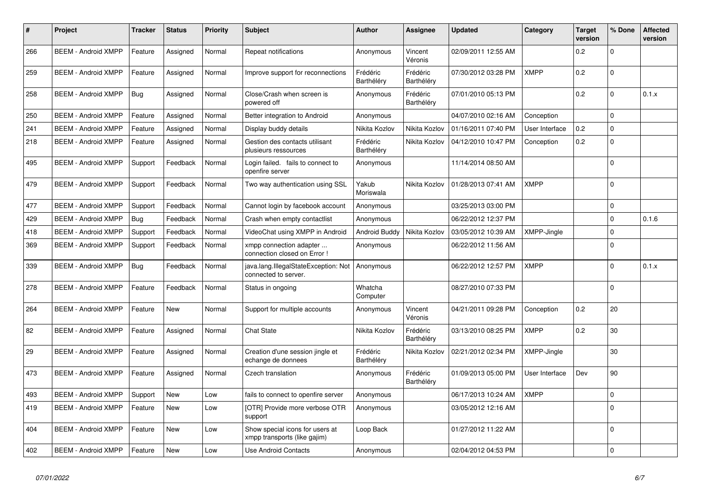| $\#$ | Project                    | <b>Tracker</b> | <b>Status</b> | <b>Priority</b> | <b>Subject</b>                                                  | <b>Author</b>          | Assignee               | <b>Updated</b>      | Category       | <b>Target</b><br>version | % Done      | <b>Affected</b><br>version |
|------|----------------------------|----------------|---------------|-----------------|-----------------------------------------------------------------|------------------------|------------------------|---------------------|----------------|--------------------------|-------------|----------------------------|
| 266  | <b>BEEM - Android XMPP</b> | Feature        | Assigned      | Normal          | Repeat notifications                                            | Anonymous              | Vincent<br>Véronis     | 02/09/2011 12:55 AM |                | 0.2                      | $\Omega$    |                            |
| 259  | <b>BEEM - Android XMPP</b> | Feature        | Assigned      | Normal          | Improve support for reconnections                               | Frédéric<br>Barthéléry | Frédéric<br>Barthéléry | 07/30/2012 03:28 PM | <b>XMPP</b>    | 0.2                      | $\Omega$    |                            |
| 258  | <b>BEEM - Android XMPP</b> | Bug            | Assigned      | Normal          | Close/Crash when screen is<br>powered off                       | Anonymous              | Frédéric<br>Barthéléry | 07/01/2010 05:13 PM |                | 0.2                      | $\Omega$    | 0.1.x                      |
| 250  | <b>BEEM - Android XMPP</b> | Feature        | Assigned      | Normal          | Better integration to Android                                   | Anonymous              |                        | 04/07/2010 02:16 AM | Conception     |                          | $\Omega$    |                            |
| 241  | <b>BEEM - Android XMPP</b> | Feature        | Assigned      | Normal          | Display buddy details                                           | Nikita Kozlov          | Nikita Kozlov          | 01/16/2011 07:40 PM | User Interface | 0.2                      | $\Omega$    |                            |
| 218  | <b>BEEM - Android XMPP</b> | Feature        | Assigned      | Normal          | Gestion des contacts utilisant<br>plusieurs ressources          | Frédéric<br>Barthéléry | Nikita Kozlov          | 04/12/2010 10:47 PM | Conception     | 0.2                      | $\Omega$    |                            |
| 495  | <b>BEEM - Android XMPP</b> | Support        | Feedback      | Normal          | Login failed. fails to connect to<br>openfire server            | Anonymous              |                        | 11/14/2014 08:50 AM |                |                          | $\Omega$    |                            |
| 479  | <b>BEEM - Android XMPP</b> | Support        | Feedback      | Normal          | Two way authentication using SSL                                | Yakub<br>Moriswala     | Nikita Kozlov          | 01/28/2013 07:41 AM | <b>XMPP</b>    |                          | $\Omega$    |                            |
| 477  | <b>BEEM - Android XMPP</b> | Support        | Feedback      | Normal          | Cannot login by facebook account                                | Anonymous              |                        | 03/25/2013 03:00 PM |                |                          | $\Omega$    |                            |
| 429  | <b>BEEM - Android XMPP</b> | Bug            | Feedback      | Normal          | Crash when empty contactlist                                    | Anonymous              |                        | 06/22/2012 12:37 PM |                |                          | $\Omega$    | 0.1.6                      |
| 418  | <b>BEEM - Android XMPP</b> | Support        | Feedback      | Normal          | VideoChat using XMPP in Android                                 | Android Buddy          | Nikita Kozlov          | 03/05/2012 10:39 AM | XMPP-Jingle    |                          | $\mathbf 0$ |                            |
| 369  | <b>BEEM - Android XMPP</b> | Support        | Feedback      | Normal          | xmpp connection adapter<br>connection closed on Error !         | Anonymous              |                        | 06/22/2012 11:56 AM |                |                          | $\Omega$    |                            |
| 339  | <b>BEEM - Android XMPP</b> | Bug            | Feedback      | Normal          | java.lang.IllegalStateException: Not<br>connected to server.    | Anonymous              |                        | 06/22/2012 12:57 PM | <b>XMPP</b>    |                          | $\Omega$    | 0.1.x                      |
| 278  | <b>BEEM - Android XMPP</b> | Feature        | Feedback      | Normal          | Status in ongoing                                               | Whatcha<br>Computer    |                        | 08/27/2010 07:33 PM |                |                          | $\Omega$    |                            |
| 264  | <b>BEEM - Android XMPP</b> | Feature        | <b>New</b>    | Normal          | Support for multiple accounts                                   | Anonymous              | Vincent<br>Véronis     | 04/21/2011 09:28 PM | Conception     | 0.2                      | 20          |                            |
| 82   | <b>BEEM - Android XMPP</b> | Feature        | Assigned      | Normal          | <b>Chat State</b>                                               | Nikita Kozlov          | Frédéric<br>Barthéléry | 03/13/2010 08:25 PM | <b>XMPP</b>    | 0.2                      | 30          |                            |
| 29   | <b>BEEM - Android XMPP</b> | Feature        | Assigned      | Normal          | Creation d'une session jingle et<br>echange de donnees          | Frédéric<br>Barthéléry | Nikita Kozlov          | 02/21/2012 02:34 PM | XMPP-Jingle    |                          | 30          |                            |
| 473  | <b>BEEM - Android XMPP</b> | Feature        | Assigned      | Normal          | Czech translation                                               | Anonymous              | Frédéric<br>Barthéléry | 01/09/2013 05:00 PM | User Interface | Dev                      | 90          |                            |
| 493  | <b>BEEM - Android XMPP</b> | Support        | New           | Low             | fails to connect to openfire server                             | Anonymous              |                        | 06/17/2013 10:24 AM | <b>XMPP</b>    |                          | $\Omega$    |                            |
| 419  | <b>BEEM - Android XMPP</b> | Feature        | New           | Low             | [OTR] Provide more verbose OTR<br>support                       | Anonymous              |                        | 03/05/2012 12:16 AM |                |                          | $\Omega$    |                            |
| 404  | <b>BEEM - Android XMPP</b> | Feature        | New           | Low             | Show special icons for users at<br>xmpp transports (like gajim) | Loop Back              |                        | 01/27/2012 11:22 AM |                |                          | $\Omega$    |                            |
| 402  | <b>BEEM - Android XMPP</b> | Feature        | <b>New</b>    | Low             | <b>Use Android Contacts</b>                                     | Anonymous              |                        | 02/04/2012 04:53 PM |                |                          | $\Omega$    |                            |